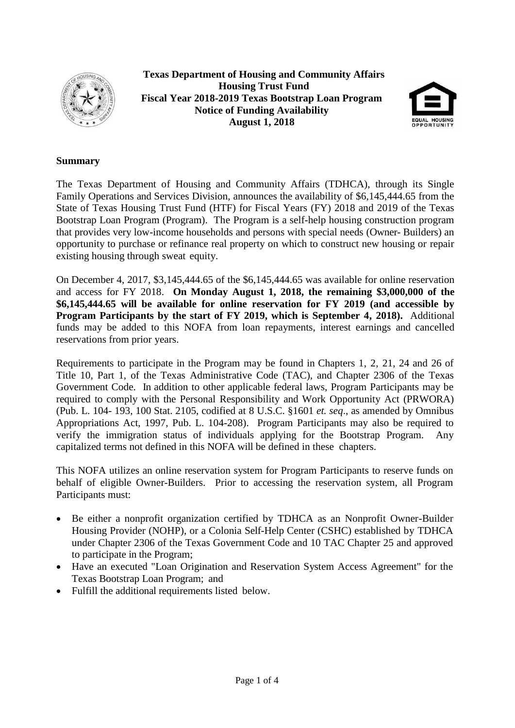

**Texas Department of Housing and Community Affairs Housing Trust Fund Fiscal Year 2018-2019 Texas Bootstrap Loan Program Notice of Funding Availability August 1, 2018**



#### **Summary**

The Texas Department of Housing and Community Affairs (TDHCA), through its Single Family Operations and Services Division, announces the availability of \$6,145,444.65 from the State of Texas Housing Trust Fund (HTF) for Fiscal Years (FY) 2018 and 2019 of the Texas Bootstrap Loan Program (Program). The Program is a self-help housing construction program that provides very low-income households and persons with special needs (Owner- Builders) an opportunity to purchase or refinance real property on which to construct new housing or repair existing housing through sweat equity.

On December 4, 2017, \$3,145,444.65 of the \$6,145,444.65 was available for online reservation and access for FY 2018. **On Monday August 1, 2018, the remaining \$3,000,000 of the \$6,145,444.65 will be available for online reservation for FY 2019 (and accessible by Program Participants by the start of FY 2019, which is September 4, 2018).** Additional funds may be added to this NOFA from loan repayments, interest earnings and cancelled reservations from prior years.

Requirements to participate in the Program may be found in Chapters 1, 2, 21, 24 and 26 of Title 10, Part 1, of the Texas Administrative Code (TAC), and Chapter 2306 of the Texas Government Code. In addition to other applicable federal laws, Program Participants may be required to comply with the Personal Responsibility and Work Opportunity Act (PRWORA) (Pub. L. 104- 193, 100 Stat. 2105, codified at 8 U.S.C. §1601 *et. seq*., as amended by Omnibus Appropriations Act, 1997, Pub. L. 104-208). Program Participants may also be required to verify the immigration status of individuals applying for the Bootstrap Program. Any capitalized terms not defined in this NOFA will be defined in these chapters.

This NOFA utilizes an online reservation system for Program Participants to reserve funds on behalf of eligible Owner-Builders. Prior to accessing the reservation system, all Program Participants must:

- Be either a nonprofit organization certified by TDHCA as an Nonprofit Owner-Builder Housing Provider (NOHP), or a Colonia Self-Help Center (CSHC) established by TDHCA under Chapter 2306 of the Texas Government Code and 10 TAC Chapter 25 and approved to participate in the Program;
- Have an executed "Loan Origination and Reservation System Access Agreement" for the Texas Bootstrap Loan Program; and
- Fulfill the additional requirements listed below.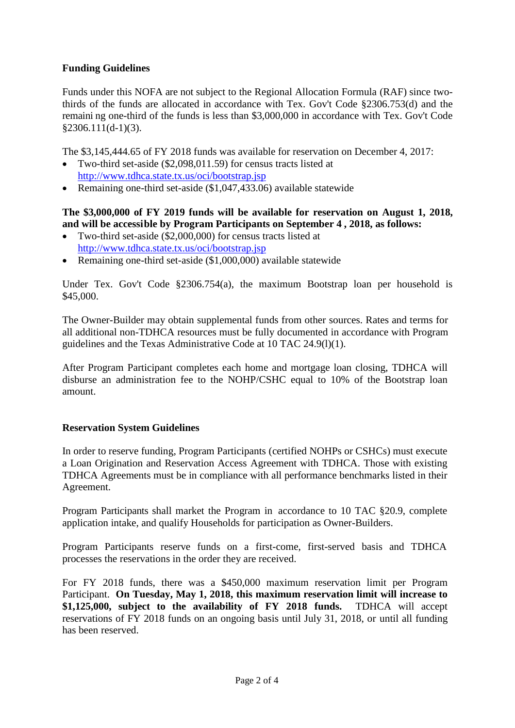# **Funding Guidelines**

Funds under this NOFA are not subject to the Regional Allocation Formula (RAF) since twothirds of the funds are allocated in accordance with Tex. Gov't Code §2306.753(d) and the remaini ng one-third of the funds is less than \$3,000,000 in accordance with Tex. Gov't Code §2306.111(d-1)(3).

The \$3,145,444.65 of FY 2018 funds was available for reservation on December 4, 2017:

- Two-third set-aside (\$2,098,011.59) for census tracts listed at <http://www.tdhca.state.tx.us/oci/bootstrap.jsp>
- Remaining one-third set-aside (\$1,047,433.06) available statewide

## **The \$3,000,000 of FY 2019 funds will be available for reservation on August 1, 2018, and will be accessible by Program Participants on September 4 , 2018, as follows:**

- Two-third set-aside (\$2,000,000) for census tracts listed at <http://www.tdhca.state.tx.us/oci/bootstrap.jsp>
- Remaining one-third set-aside (\$1,000,000) available statewide

Under Tex. Gov't Code §2306.754(a), the maximum Bootstrap loan per household is \$45,000.

The Owner-Builder may obtain supplemental funds from other sources. Rates and terms for all additional non-TDHCA resources must be fully documented in accordance with Program guidelines and the Texas Administrative Code at 10 TAC 24.9(l)(1).

After Program Participant completes each home and mortgage loan closing, TDHCA will disburse an administration fee to the NOHP/CSHC equal to 10% of the Bootstrap loan amount.

## **Reservation System Guidelines**

In order to reserve funding, Program Participants (certified NOHPs or CSHCs) must execute a Loan Origination and Reservation Access Agreement with TDHCA. Those with existing TDHCA Agreements must be in compliance with all performance benchmarks listed in their Agreement.

Program Participants shall market the Program in accordance to 10 TAC §20.9, complete application intake, and qualify Households for participation as Owner-Builders.

Program Participants reserve funds on a first-come, first-served basis and TDHCA processes the reservations in the order they are received.

For FY 2018 funds, there was a \$450,000 maximum reservation limit per Program Participant. **On Tuesday, May 1, 2018, this maximum reservation limit will increase to \$1,125,000, subject to the availability of FY 2018 funds.** TDHCA will accept reservations of FY 2018 funds on an ongoing basis until July 31, 2018, or until all funding has been reserved.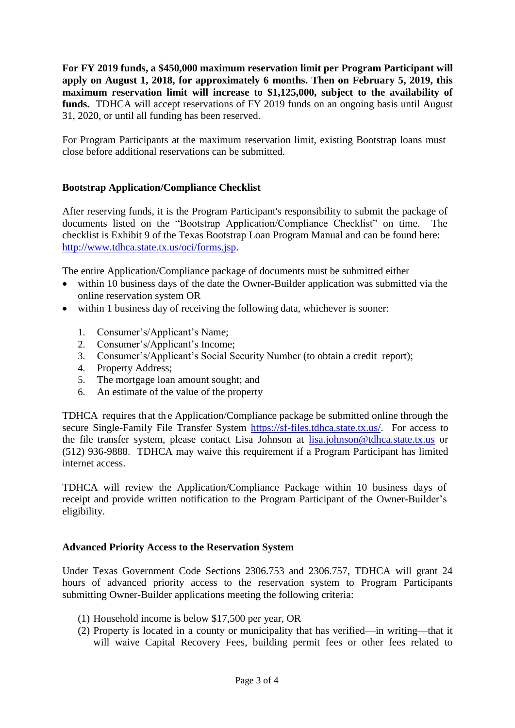**For FY 2019 funds, a \$450,000 maximum reservation limit per Program Participant will apply on August 1, 2018, for approximately 6 months. Then on February 5, 2019, this maximum reservation limit will increase to \$1,125,000, subject to the availability of funds.** TDHCA will accept reservations of FY 2019 funds on an ongoing basis until August 31, 2020, or until all funding has been reserved.

For Program Participants at the maximum reservation limit, existing Bootstrap loans must close before additional reservations can be submitted.

## **Bootstrap Application/Compliance Checklist**

After reserving funds, it is the Program Participant's responsibility to submit the package of documents listed on the "Bootstrap Application/Compliance Checklist" on time. The checklist is Exhibit 9 of the Texas Bootstrap Loan Program Manual and can be found here: [http://www.tdhca.state.tx.us/oci/forms.jsp.](http://www.tdhca.state.tx.us/oci/forms.jsp)

The entire Application/Compliance package of documents must be submitted either

- within 10 business days of the date the Owner-Builder application was submitted via the online reservation system OR
- within 1 business day of receiving the following data, whichever is sooner:
	- 1. Consumer's/Applicant's Name;
	- 2. Consumer's/Applicant's Income;
	- 3. Consumer's/Applicant's Social Security Number (to obtain a credit report);
	- 4. Property Address;
	- 5. The mortgage loan amount sought; and
	- 6. An estimate of the value of the property

TDHCA requires that th e Application/Compliance package be submitted online through the secure Single-Family File Transfer System https://sf-files.tdhca.state.tx.us/. For access to the file transfer system, please contact Lisa Johnson at [lisa.johnson@tdhca.state.tx.us](mailto:lisa.johnson@tdhca.state.tx.us) or (512) 936-988[8.](mailto:lisa.johnson@tdhca.state.tx.us) TDHCA may waive this requirement if a Program Participant has limited internet access.

TDHCA will review the Application/Compliance Package within 10 business days of receipt and provide written notification to the Program Participant of the Owner-Builder's eligibility.

#### **Advanced Priority Access to the Reservation System**

Under Texas Government Code Sections 2306.753 and 2306.757, TDHCA will grant 24 hours of advanced priority access to the reservation system to Program Participants submitting Owner-Builder applications meeting the following criteria:

- (1) Household income is below \$17,500 per year, OR
- (2) Property is located in a county or municipality that has verified—in writing—that it will waive Capital Recovery Fees, building permit fees or other fees related to